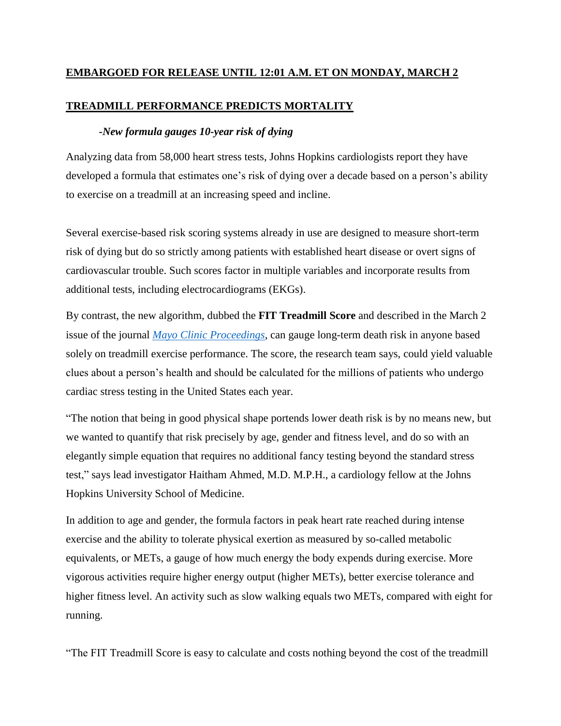## **EMBARGOED FOR RELEASE UNTIL 12:01 A.M. ET ON MONDAY, MARCH 2**

## **TREADMILL PERFORMANCE PREDICTS MORTALITY**

## *-New formula gauges 10-year risk of dying*

Analyzing data from 58,000 heart stress tests, Johns Hopkins cardiologists report they have developed a formula that estimates one's risk of dying over a decade based on a person's ability to exercise on a treadmill at an increasing speed and incline.

Several exercise-based risk scoring systems already in use are designed to measure short-term risk of dying but do so strictly among patients with established heart disease or overt signs of cardiovascular trouble. Such scores factor in multiple variables and incorporate results from additional tests, including electrocardiograms (EKGs).

By contrast, the new algorithm, dubbed the **FIT Treadmill Score** and described in the March 2 issue of the journal *[Mayo Clinic Proceedings](http://www.mayoclinicproceedings.org/)*, can gauge long-term death risk in anyone based solely on treadmill exercise performance. The score, the research team says, could yield valuable clues about a person's health and should be calculated for the millions of patients who undergo cardiac stress testing in the United States each year.

"The notion that being in good physical shape portends lower death risk is by no means new, but we wanted to quantify that risk precisely by age, gender and fitness level, and do so with an elegantly simple equation that requires no additional fancy testing beyond the standard stress test," says lead investigator Haitham Ahmed, M.D. M.P.H., a cardiology fellow at the Johns Hopkins University School of Medicine.

In addition to age and gender, the formula factors in peak heart rate reached during intense exercise and the ability to tolerate physical exertion as measured by so-called metabolic equivalents, or METs, a gauge of how much energy the body expends during exercise. More vigorous activities require higher energy output (higher METs), better exercise tolerance and higher fitness level. An activity such as slow walking equals two METs, compared with eight for running.

"The FIT Treadmill Score is easy to calculate and costs nothing beyond the cost of the treadmill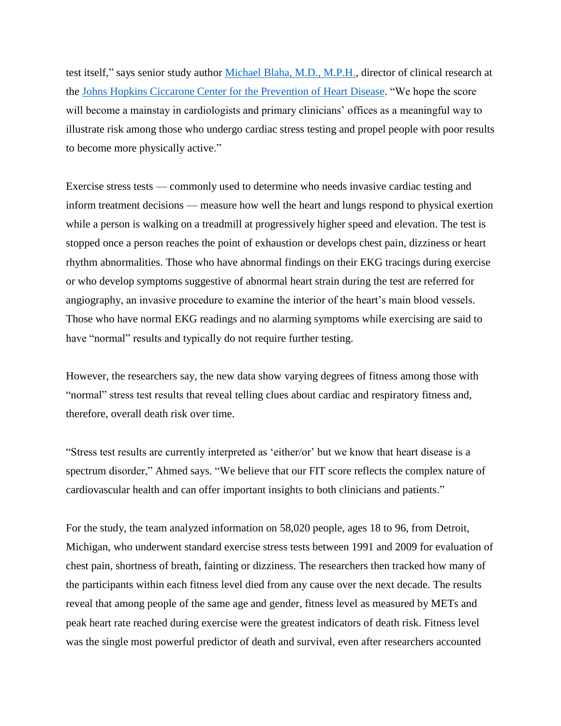test itself," says senior study author [Michael Blaha, M.D., M.P.H.,](http://www.hopkinsmedicine.org/profiles/results/directory/profile/1287652/michael-blaha) director of clinical research at the [Johns Hopkins Ciccarone Center for the Prevention of Heart Disease.](http://www.hopkinsmedicine.org/heart_vascular_institute/clinical_services/centers_excellence/ciccarone/) "We hope the score will become a mainstay in cardiologists and primary clinicians' offices as a meaningful way to illustrate risk among those who undergo cardiac stress testing and propel people with poor results to become more physically active."

Exercise stress tests — commonly used to determine who needs invasive cardiac testing and inform treatment decisions — measure how well the heart and lungs respond to physical exertion while a person is walking on a treadmill at progressively higher speed and elevation. The test is stopped once a person reaches the point of exhaustion or develops chest pain, dizziness or heart rhythm abnormalities. Those who have abnormal findings on their EKG tracings during exercise or who develop symptoms suggestive of abnormal heart strain during the test are referred for angiography, an invasive procedure to examine the interior of the heart's main blood vessels. Those who have normal EKG readings and no alarming symptoms while exercising are said to have "normal" results and typically do not require further testing.

However, the researchers say, the new data show varying degrees of fitness among those with "normal" stress test results that reveal telling clues about cardiac and respiratory fitness and, therefore, overall death risk over time.

"Stress test results are currently interpreted as 'either/or' but we know that heart disease is a spectrum disorder," Ahmed says. "We believe that our FIT score reflects the complex nature of cardiovascular health and can offer important insights to both clinicians and patients."

For the study, the team analyzed information on 58,020 people, ages 18 to 96, from Detroit, Michigan, who underwent standard exercise stress tests between 1991 and 2009 for evaluation of chest pain, shortness of breath, fainting or dizziness. The researchers then tracked how many of the participants within each fitness level died from any cause over the next decade. The results reveal that among people of the same age and gender, fitness level as measured by METs and peak heart rate reached during exercise were the greatest indicators of death risk. Fitness level was the single most powerful predictor of death and survival, even after researchers accounted